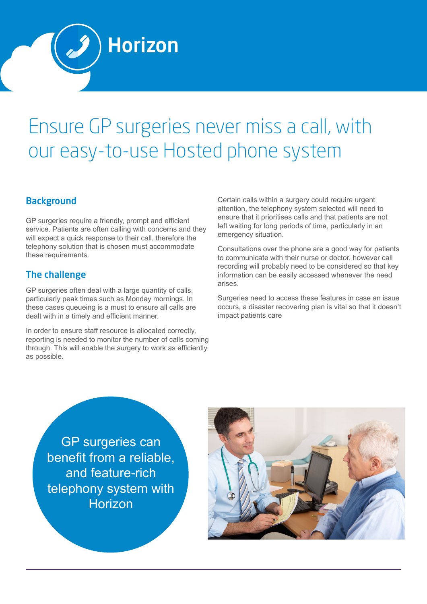**Horizon** 

# Ensure GP surgeries never miss a call, with our easy-to-use Hosted phone system

#### **Background**

GP surgeries require a friendly, prompt and efficient service. Patients are often calling with concerns and they will expect a quick response to their call, therefore the telephony solution that is chosen must accommodate these requirements.

### The challenge

GP surgeries often deal with a large quantity of calls, particularly peak times such as Monday mornings. In these cases queueing is a must to ensure all calls are dealt with in a timely and efficient manner.

In order to ensure staff resource is allocated correctly, reporting is needed to monitor the number of calls coming through. This will enable the surgery to work as efficiently as possible.

Certain calls within a surgery could require urgent attention, the telephony system selected will need to ensure that it prioritises calls and that patients are not left waiting for long periods of time, particularly in an emergency situation.

Consultations over the phone are a good way for patients to communicate with their nurse or doctor, however call recording will probably need to be considered so that key information can be easily accessed whenever the need arises.

Surgeries need to access these features in case an issue occurs, a disaster recovering plan is vital so that it doesn't impact patients care

GP surgeries can benefit from a reliable, and feature-rich telephony system with **Horizon**